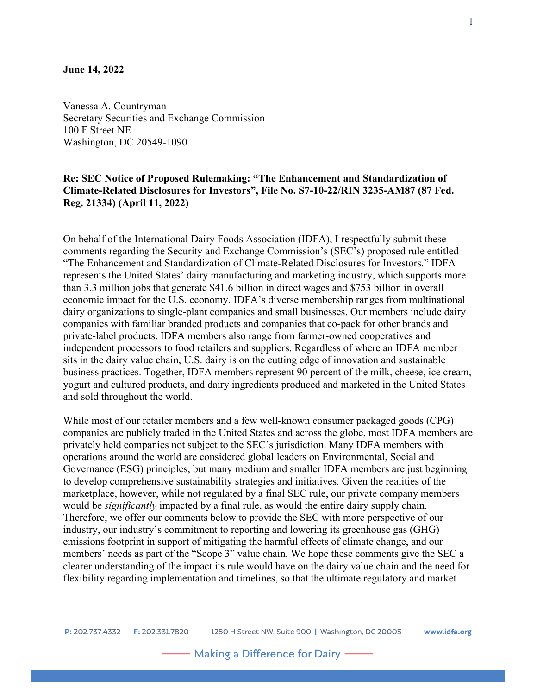#### **June 14, 2022**

Vanessa A. Countryman Secretary Securities and Exchange Commission 100 F Street NE Washington, DC 20549-1090

# **Re: SEC Notice of Proposed Rulemaking: "The Enhancement and Standardization of Climate-Related Disclosures for Investors", File No. S7-10-22/RIN 3235-AM87 (87 Fed. Reg. 21334) (April 11, 2022)**

On behalf of the International Dairy Foods Association (IDFA), I respectfully submit these comments regarding the Security and Exchange Commission's (SEC's) proposed rule entitled "The Enhancement and Standardization of Climate-Related Disclosures for Investors." IDFA represents the United States' dairy manufacturing and marketing industry, which supports more than 3.3 million jobs that generate \$41.6 billion in direct wages and \$753 billion in overall economic impact for the U.S. economy. IDFA's diverse membership ranges from multinational dairy organizations to single-plant companies and small businesses. Our members include dairy companies with familiar branded products and companies that co-pack for other brands and private-label products. IDFA members also range from farmer-owned cooperatives and independent processors to food retailers and suppliers. Regardless of where an IDFA member sits in the dairy value chain, U.S. dairy is on the cutting edge of innovation and sustainable business practices. Together, IDFA members represent 90 percent of the milk, cheese, ice cream, yogurt and cultured products, and dairy ingredients produced and marketed in the United States and sold throughout the world.

While most of our retailer members and a few well-known consumer packaged goods (CPG) companies are publicly traded in the United States and across the globe, most IDFA members are privately held companies not subject to the SEC's jurisdiction. Many IDFA members with operations around the world are considered global leaders on Environmental, Social and Governance (ESG) principles, but many medium and smaller IDFA members are just beginning to develop comprehensive sustainability strategies and initiatives. Given the realities of the marketplace, however, while not regulated by a final SEC rule, our private company members would be *significantly* impacted by a final rule, as would the entire dairy supply chain. Therefore, we offer our comments below to provide the SEC with more perspective of our industry, our industry's commitment to reporting and lowering its greenhouse gas (GHG) emissions footprint in support of mitigating the harmful effects of climate change, and our members' needs as part of the "Scope 3" value chain. We hope these comments give the SEC a clearer understanding of the impact its rule would have on the dairy value chain and the need for flexibility regarding implementation and timelines, so that the ultimate regulatory and market

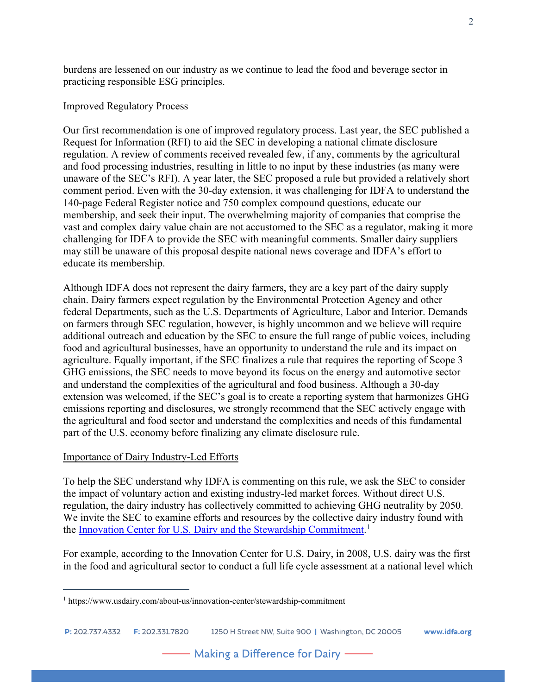burdens are lessened on our industry as we continue to lead the food and beverage sector in practicing responsible ESG principles.

## Improved Regulatory Process

Our first recommendation is one of improved regulatory process. Last year, the SEC published a Request for Information (RFI) to aid the SEC in developing a national climate disclosure regulation. A review of comments received revealed few, if any, comments by the agricultural and food processing industries, resulting in little to no input by these industries (as many were unaware of the SEC's RFI). A year later, the SEC proposed a rule but provided a relatively short comment period. Even with the 30-day extension, it was challenging for IDFA to understand the 140-page Federal Register notice and 750 complex compound questions, educate our membership, and seek their input. The overwhelming majority of companies that comprise the vast and complex dairy value chain are not accustomed to the SEC as a regulator, making it more challenging for IDFA to provide the SEC with meaningful comments. Smaller dairy suppliers may still be unaware of this proposal despite national news coverage and IDFA's effort to educate its membership.

Although IDFA does not represent the dairy farmers, they are a key part of the dairy supply chain. Dairy farmers expect regulation by the Environmental Protection Agency and other federal Departments, such as the U.S. Departments of Agriculture, Labor and Interior. Demands on farmers through SEC regulation, however, is highly uncommon and we believe will require additional outreach and education by the SEC to ensure the full range of public voices, including food and agricultural businesses, have an opportunity to understand the rule and its impact on agriculture. Equally important, if the SEC finalizes a rule that requires the reporting of Scope 3 GHG emissions, the SEC needs to move beyond its focus on the energy and automotive sector and understand the complexities of the agricultural and food business. Although a 30-day extension was welcomed, if the SEC's goal is to create a reporting system that harmonizes GHG emissions reporting and disclosures, we strongly recommend that the SEC actively engage with the agricultural and food sector and understand the complexities and needs of this fundamental part of the U.S. economy before finalizing any climate disclosure rule.

## Importance of Dairy Industry-Led Efforts

To help the SEC understand why IDFA is commenting on this rule, we ask the SEC to consider the impact of voluntary action and existing industry-led market forces. Without direct U.S. regulation, the dairy industry has collectively committed to achieving GHG neutrality by 2050. We invite the SEC to examine efforts and resources by the collective dairy industry found with the [Innovation Center for U.S. Dairy and the Stewardship Commitment.](https://www.usdairy.com/about-us/innovation-center/stewardship-commitment)<sup>[1](#page-1-0)</sup>

For example, according to the Innovation Center for U.S. Dairy, in 2008, U.S. dairy was the first in the food and agricultural sector to conduct a full life cycle assessment at a national level which

2

<span id="page-1-0"></span><sup>1</sup> https://www.usdairy.com/about-us/innovation-center/stewardship-commitment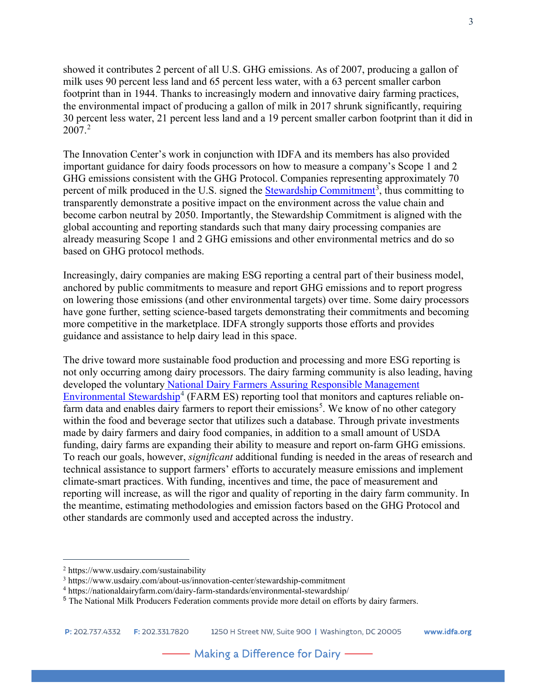showed it contributes 2 percent of all U.S. GHG emissions. As of 2007, producing a gallon of milk uses 90 percent less land and 65 percent less water, with a 63 percent smaller carbon footprint than in 1944. Thanks to increasingly modern and innovative dairy farming practices, the environmental impact of producing a gallon of milk in 2017 shrunk significantly, requiring 30 percent less water, 21 percent less land and a 19 percent smaller carbon footprint than it did in 2007.[2](#page-2-0)

The Innovation Center's work in conjunction with IDFA and its members has also provided important guidance for dairy foods processors on how to measure a company's Scope 1 and 2 GHG emissions consistent with the GHG Protocol. Companies representing approximately 70 percent of milk produced in the U.S. signed the **Stewardship Commitment**<sup>[3](#page-2-1)</sup>, thus committing to transparently demonstrate a positive impact on the environment across the value chain and become carbon neutral by 2050. Importantly, the Stewardship Commitment is aligned with the global accounting and reporting standards such that many dairy processing companies are already measuring Scope 1 and 2 GHG emissions and other environmental metrics and do so based on GHG protocol methods.

Increasingly, dairy companies are making ESG reporting a central part of their business model, anchored by public commitments to measure and report GHG emissions and to report progress on lowering those emissions (and other environmental targets) over time. Some dairy processors have gone further, setting science-based targets demonstrating their commitments and becoming more competitive in the marketplace. IDFA strongly supports those efforts and provides guidance and assistance to help dairy lead in this space.

The drive toward more sustainable food production and processing and more ESG reporting is not only occurring among dairy processors. The dairy farming community is also leading, having developed the voluntary [National Dairy Farmers Assuring Responsible Management](https://nationaldairyfarm.com/dairy-farm-standards/environmental-stewardship/) [Environmental Stewardship](https://nationaldairyfarm.com/dairy-farm-standards/environmental-stewardship/)<sup>[4](#page-2-2)</sup> (FARM ES) reporting tool that monitors and captures reliable on-farm data and enables dairy farmers to report their emissions<sup>[5](#page-2-3)</sup>. We know of no other category within the food and beverage sector that utilizes such a database. Through private investments made by dairy farmers and dairy food companies, in addition to a small amount of USDA funding, dairy farms are expanding their ability to measure and report on-farm GHG emissions. To reach our goals, however, *significant* additional funding is needed in the areas of research and technical assistance to support farmers' efforts to accurately measure emissions and implement climate-smart practices. With funding, incentives and time, the pace of measurement and reporting will increase, as will the rigor and quality of reporting in the dairy farm community. In the meantime, estimating methodologies and emission factors based on the GHG Protocol and other standards are commonly used and accepted across the industry.

<span id="page-2-0"></span><sup>2</sup> https://www.usdairy.com/sustainability

<span id="page-2-1"></span><sup>3</sup> https://www.usdairy.com/about-us/innovation-center/stewardship-commitment

<span id="page-2-2"></span><sup>4</sup> https://nationaldairyfarm.com/dairy-farm-standards/environmental-stewardship/

<span id="page-2-3"></span><sup>5</sup> The National Milk Producers Federation comments provide more detail on efforts by dairy farmers.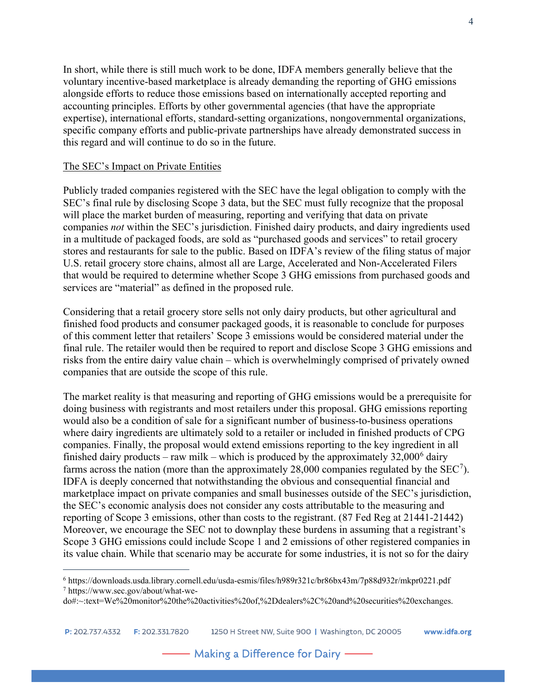In short, while there is still much work to be done, IDFA members generally believe that the voluntary incentive-based marketplace is already demanding the reporting of GHG emissions alongside efforts to reduce those emissions based on internationally accepted reporting and accounting principles. Efforts by other governmental agencies (that have the appropriate expertise), international efforts, standard-setting organizations, nongovernmental organizations, specific company efforts and public-private partnerships have already demonstrated success in this regard and will continue to do so in the future.

## The SEC's Impact on Private Entities

Publicly traded companies registered with the SEC have the legal obligation to comply with the SEC's final rule by disclosing Scope 3 data, but the SEC must fully recognize that the proposal will place the market burden of measuring, reporting and verifying that data on private companies *not* within the SEC's jurisdiction. Finished dairy products, and dairy ingredients used in a multitude of packaged foods, are sold as "purchased goods and services" to retail grocery stores and restaurants for sale to the public. Based on IDFA's review of the filing status of major U.S. retail grocery store chains, almost all are Large, Accelerated and Non-Accelerated Filers that would be required to determine whether Scope 3 GHG emissions from purchased goods and services are "material" as defined in the proposed rule.

Considering that a retail grocery store sells not only dairy products, but other agricultural and finished food products and consumer packaged goods, it is reasonable to conclude for purposes of this comment letter that retailers' Scope 3 emissions would be considered material under the final rule. The retailer would then be required to report and disclose Scope 3 GHG emissions and risks from the entire dairy value chain – which is overwhelmingly comprised of privately owned companies that are outside the scope of this rule.

The market reality is that measuring and reporting of GHG emissions would be a prerequisite for doing business with registrants and most retailers under this proposal. GHG emissions reporting would also be a condition of sale for a significant number of business-to-business operations where dairy ingredients are ultimately sold to a retailer or included in finished products of CPG companies. Finally, the proposal would extend emissions reporting to the key ingredient in all finished dairy products – raw milk – which is produced by the approximately  $32,000^6$  $32,000^6$  dairy farms across the nation (more than the approximately 28,000 companies regulated by the  $SEC<sup>7</sup>)$  $SEC<sup>7</sup>)$  $SEC<sup>7</sup>)$ . IDFA is deeply concerned that notwithstanding the obvious and consequential financial and marketplace impact on private companies and small businesses outside of the SEC's jurisdiction, the SEC's economic analysis does not consider any costs attributable to the measuring and reporting of Scope 3 emissions, other than costs to the registrant. (87 Fed Reg at 21441-21442) Moreover, we encourage the SEC not to downplay these burdens in assuming that a registrant's Scope 3 GHG emissions could include Scope 1 and 2 emissions of other registered companies in its value chain. While that scenario may be accurate for some industries, it is not so for the dairy

<span id="page-3-1"></span><span id="page-3-0"></span><sup>6</sup> https://downloads.usda.library.cornell.edu/usda-esmis/files/h989r321c/br86bx43m/7p88d932r/mkpr0221.pdf <sup>7</sup> https://www.sec.gov/about/what-we-

do#:~:text=We%20monitor%20the%20activities%20of,%2Ddealers%2C%20and%20securities%20exchanges.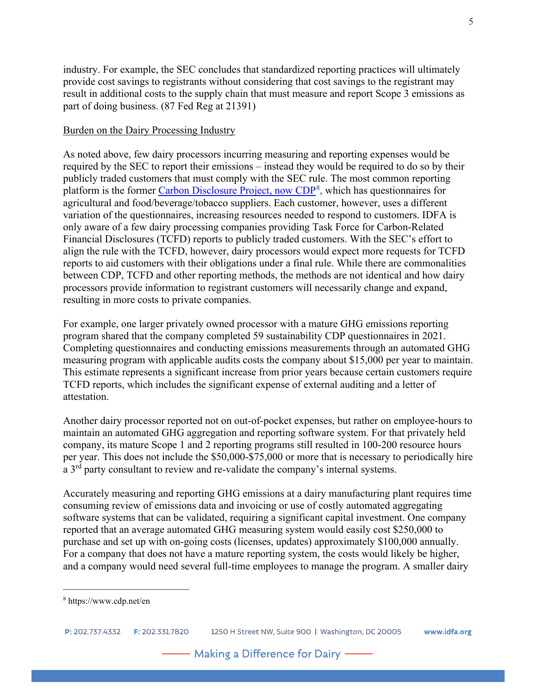industry. For example, the SEC concludes that standardized reporting practices will ultimately provide cost savings to registrants without considering that cost savings to the registrant may result in additional costs to the supply chain that must measure and report Scope 3 emissions as part of doing business. (87 Fed Reg at 21391)

## Burden on the Dairy Processing Industry

As noted above, few dairy processors incurring measuring and reporting expenses would be required by the SEC to report their emissions – instead they would be required to do so by their publicly traded customers that must comply with the SEC rule. The most common reporting platform is the former [Carbon Disclosure Project,](https://www.cdp.net/en) now CDP<sup>[8](#page-4-0)</sup>, which has questionnaires for agricultural and food/beverage/tobacco suppliers. Each customer, however, uses a different variation of the questionnaires, increasing resources needed to respond to customers. IDFA is only aware of a few dairy processing companies providing Task Force for Carbon-Related Financial Disclosures (TCFD) reports to publicly traded customers. With the SEC's effort to align the rule with the TCFD, however, dairy processors would expect more requests for TCFD reports to aid customers with their obligations under a final rule. While there are commonalities between CDP, TCFD and other reporting methods, the methods are not identical and how dairy processors provide information to registrant customers will necessarily change and expand, resulting in more costs to private companies.

For example, one larger privately owned processor with a mature GHG emissions reporting program shared that the company completed 59 sustainability CDP questionnaires in 2021. Completing questionnaires and conducting emissions measurements through an automated GHG measuring program with applicable audits costs the company about \$15,000 per year to maintain. This estimate represents a significant increase from prior years because certain customers require TCFD reports, which includes the significant expense of external auditing and a letter of attestation.

Another dairy processor reported not on out-of-pocket expenses, but rather on employee-hours to maintain an automated GHG aggregation and reporting software system. For that privately held company, its mature Scope 1 and 2 reporting programs still resulted in 100-200 resource hours per year. This does not include the \$50,000-\$75,000 or more that is necessary to periodically hire a 3<sup>rd</sup> party consultant to review and re-validate the company's internal systems.

Accurately measuring and reporting GHG emissions at a dairy manufacturing plant requires time consuming review of emissions data and invoicing or use of costly automated aggregating software systems that can be validated, requiring a significant capital investment. One company reported that an average automated GHG measuring system would easily cost \$250,000 to purchase and set up with on-going costs (licenses, updates) approximately \$100,000 annually. For a company that does not have a mature reporting system, the costs would likely be higher, and a company would need several full-time employees to manage the program. A smaller dairy

<span id="page-4-0"></span><sup>8</sup> https://www.cdp.net/en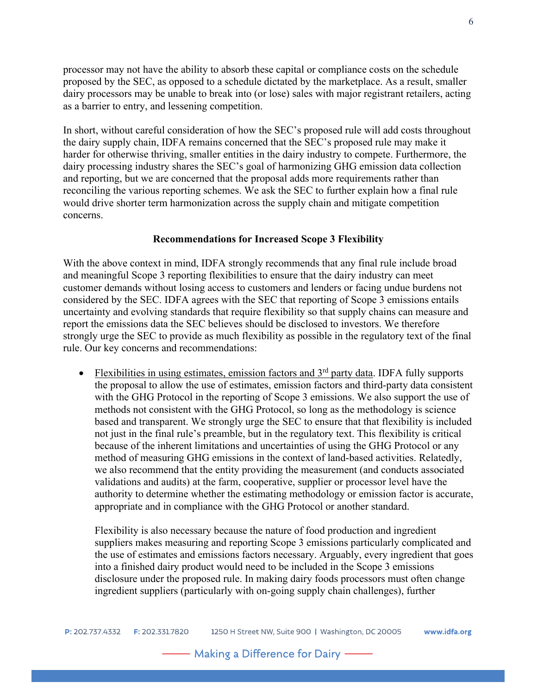processor may not have the ability to absorb these capital or compliance costs on the schedule proposed by the SEC, as opposed to a schedule dictated by the marketplace. As a result, smaller dairy processors may be unable to break into (or lose) sales with major registrant retailers, acting as a barrier to entry, and lessening competition.

In short, without careful consideration of how the SEC's proposed rule will add costs throughout the dairy supply chain, IDFA remains concerned that the SEC's proposed rule may make it harder for otherwise thriving, smaller entities in the dairy industry to compete. Furthermore, the dairy processing industry shares the SEC's goal of harmonizing GHG emission data collection and reporting, but we are concerned that the proposal adds more requirements rather than reconciling the various reporting schemes. We ask the SEC to further explain how a final rule would drive shorter term harmonization across the supply chain and mitigate competition concerns.

#### **Recommendations for Increased Scope 3 Flexibility**

With the above context in mind, IDFA strongly recommends that any final rule include broad and meaningful Scope 3 reporting flexibilities to ensure that the dairy industry can meet customer demands without losing access to customers and lenders or facing undue burdens not considered by the SEC. IDFA agrees with the SEC that reporting of Scope 3 emissions entails uncertainty and evolving standards that require flexibility so that supply chains can measure and report the emissions data the SEC believes should be disclosed to investors. We therefore strongly urge the SEC to provide as much flexibility as possible in the regulatory text of the final rule. Our key concerns and recommendations:

• Flexibilities in using estimates, emission factors and  $3<sup>rd</sup>$  party data. IDFA fully supports the proposal to allow the use of estimates, emission factors and third-party data consistent with the GHG Protocol in the reporting of Scope 3 emissions. We also support the use of methods not consistent with the GHG Protocol, so long as the methodology is science based and transparent. We strongly urge the SEC to ensure that that flexibility is included not just in the final rule's preamble, but in the regulatory text. This flexibility is critical because of the inherent limitations and uncertainties of using the GHG Protocol or any method of measuring GHG emissions in the context of land-based activities. Relatedly, we also recommend that the entity providing the measurement (and conducts associated validations and audits) at the farm, cooperative, supplier or processor level have the authority to determine whether the estimating methodology or emission factor is accurate, appropriate and in compliance with the GHG Protocol or another standard.

Flexibility is also necessary because the nature of food production and ingredient suppliers makes measuring and reporting Scope 3 emissions particularly complicated and the use of estimates and emissions factors necessary. Arguably, every ingredient that goes into a finished dairy product would need to be included in the Scope 3 emissions disclosure under the proposed rule. In making dairy foods processors must often change ingredient suppliers (particularly with on-going supply chain challenges), further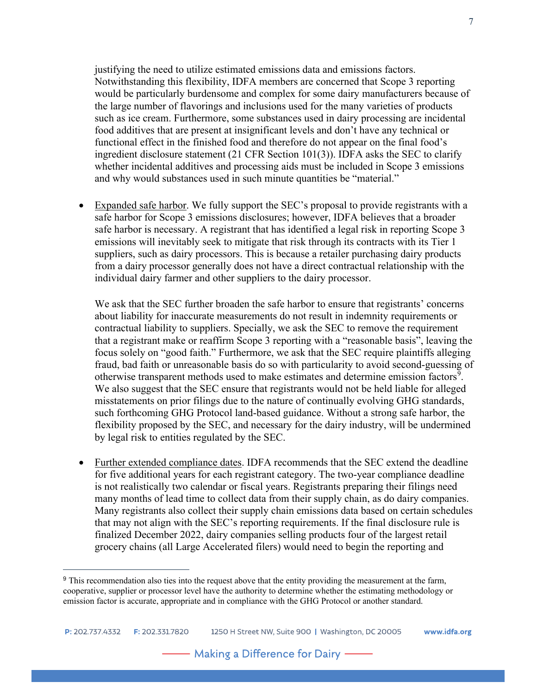justifying the need to utilize estimated emissions data and emissions factors. Notwithstanding this flexibility, IDFA members are concerned that Scope 3 reporting would be particularly burdensome and complex for some dairy manufacturers because of the large number of flavorings and inclusions used for the many varieties of products such as ice cream. Furthermore, some substances used in dairy processing are incidental food additives that are present at insignificant levels and don't have any technical or functional effect in the finished food and therefore do not appear on the final food's ingredient disclosure statement (21 CFR Section 101(3)). IDFA asks the SEC to clarify whether incidental additives and processing aids must be included in Scope 3 emissions and why would substances used in such minute quantities be "material."

• Expanded safe harbor. We fully support the SEC's proposal to provide registrants with a safe harbor for Scope 3 emissions disclosures; however, IDFA believes that a broader safe harbor is necessary. A registrant that has identified a legal risk in reporting Scope 3 emissions will inevitably seek to mitigate that risk through its contracts with its Tier 1 suppliers, such as dairy processors. This is because a retailer purchasing dairy products from a dairy processor generally does not have a direct contractual relationship with the individual dairy farmer and other suppliers to the dairy processor.

We ask that the SEC further broaden the safe harbor to ensure that registrants' concerns about liability for inaccurate measurements do not result in indemnity requirements or contractual liability to suppliers. Specially, we ask the SEC to remove the requirement that a registrant make or reaffirm Scope 3 reporting with a "reasonable basis", leaving the focus solely on "good faith." Furthermore, we ask that the SEC require plaintiffs alleging fraud, bad faith or unreasonable basis do so with particularity to avoid second-guessing of otherwise transparent methods used to make estimates and determine emission factors<sup>[9](#page-6-0)</sup>. We also suggest that the SEC ensure that registrants would not be held liable for alleged misstatements on prior filings due to the nature of continually evolving GHG standards, such forthcoming GHG Protocol land-based guidance. Without a strong safe harbor, the flexibility proposed by the SEC, and necessary for the dairy industry, will be undermined by legal risk to entities regulated by the SEC.

• Further extended compliance dates. IDFA recommends that the SEC extend the deadline for five additional years for each registrant category. The two-year compliance deadline is not realistically two calendar or fiscal years. Registrants preparing their filings need many months of lead time to collect data from their supply chain, as do dairy companies. Many registrants also collect their supply chain emissions data based on certain schedules that may not align with the SEC's reporting requirements. If the final disclosure rule is finalized December 2022, dairy companies selling products four of the largest retail grocery chains (all Large Accelerated filers) would need to begin the reporting and

<span id="page-6-0"></span><sup>&</sup>lt;sup>9</sup> This recommendation also ties into the request above that the entity providing the measurement at the farm, cooperative, supplier or processor level have the authority to determine whether the estimating methodology or emission factor is accurate, appropriate and in compliance with the GHG Protocol or another standard.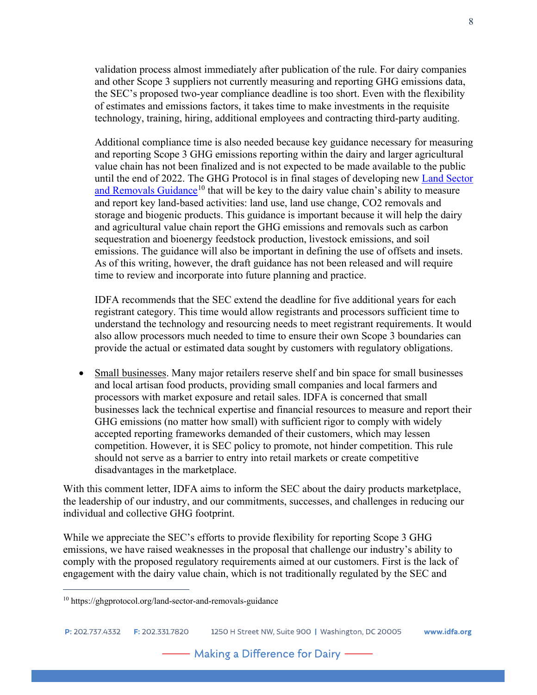validation process almost immediately after publication of the rule. For dairy companies and other Scope 3 suppliers not currently measuring and reporting GHG emissions data, the SEC's proposed two-year compliance deadline is too short. Even with the flexibility of estimates and emissions factors, it takes time to make investments in the requisite technology, training, hiring, additional employees and contracting third-party auditing.

Additional compliance time is also needed because key guidance necessary for measuring and reporting Scope 3 GHG emissions reporting within the dairy and larger agricultural value chain has not been finalized and is not expected to be made available to the public until the end of 2022. The GHG Protocol is in final stages of developing new [Land Sector](https://ghgprotocol.org/land-sector-and-removals-guidance)  [and Removals Guidance](https://ghgprotocol.org/land-sector-and-removals-guidance)<sup>[10](#page-7-0)</sup> that will be key to the dairy value chain's ability to measure and report key land-based activities: land use, land use change, CO2 removals and storage and biogenic products. This guidance is important because it will help the dairy and agricultural value chain report the GHG emissions and removals such as carbon sequestration and bioenergy feedstock production, livestock emissions, and soil emissions. The guidance will also be important in defining the use of offsets and insets. As of this writing, however, the draft guidance has not been released and will require time to review and incorporate into future planning and practice.

IDFA recommends that the SEC extend the deadline for five additional years for each registrant category. This time would allow registrants and processors sufficient time to understand the technology and resourcing needs to meet registrant requirements. It would also allow processors much needed to time to ensure their own Scope 3 boundaries can provide the actual or estimated data sought by customers with regulatory obligations.

• Small businesses. Many major retailers reserve shelf and bin space for small businesses and local artisan food products, providing small companies and local farmers and processors with market exposure and retail sales. IDFA is concerned that small businesses lack the technical expertise and financial resources to measure and report their GHG emissions (no matter how small) with sufficient rigor to comply with widely accepted reporting frameworks demanded of their customers, which may lessen competition. However, it is SEC policy to promote, not hinder competition. This rule should not serve as a barrier to entry into retail markets or create competitive disadvantages in the marketplace.

With this comment letter, IDFA aims to inform the SEC about the dairy products marketplace, the leadership of our industry, and our commitments, successes, and challenges in reducing our individual and collective GHG footprint.

While we appreciate the SEC's efforts to provide flexibility for reporting Scope 3 GHG emissions, we have raised weaknesses in the proposal that challenge our industry's ability to comply with the proposed regulatory requirements aimed at our customers. First is the lack of engagement with the dairy value chain, which is not traditionally regulated by the SEC and

<span id="page-7-0"></span><sup>10</sup> https://ghgprotocol.org/land-sector-and-removals-guidance